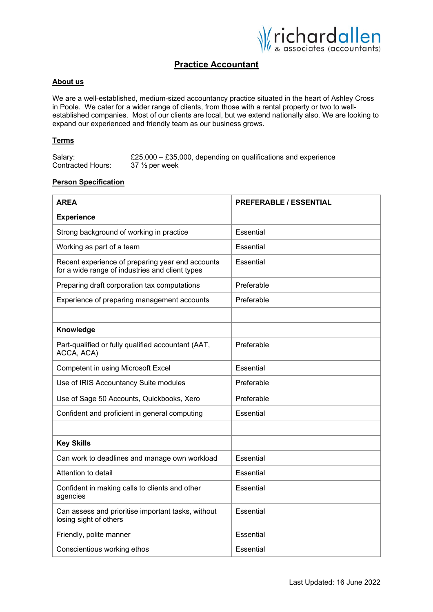

# **Practice Accountant**

## **About us**

We are a well-established, medium-sized accountancy practice situated in the heart of Ashley Cross in Poole. We cater for a wider range of clients, from those with a rental property or two to wellestablished companies. Most of our clients are local, but we extend nationally also. We are looking to expand our experienced and friendly team as our business grows.

### **Terms**

| Salary:                  | £25,000 $-$ £35,000, depending on qualifications and experience |
|--------------------------|-----------------------------------------------------------------|
| <b>Contracted Hours:</b> | $37\,\%$ per week                                               |

#### **Person Specification**

| <b>AREA</b>                                                                                         | <b>PREFERABLE / ESSENTIAL</b> |
|-----------------------------------------------------------------------------------------------------|-------------------------------|
| <b>Experience</b>                                                                                   |                               |
| Strong background of working in practice                                                            | Essential                     |
| Working as part of a team                                                                           | Essential                     |
| Recent experience of preparing year end accounts<br>for a wide range of industries and client types | Essential                     |
| Preparing draft corporation tax computations                                                        | Preferable                    |
| Experience of preparing management accounts                                                         | Preferable                    |
|                                                                                                     |                               |
| Knowledge                                                                                           |                               |
| Part-qualified or fully qualified accountant (AAT,<br>ACCA, ACA)                                    | Preferable                    |
| Competent in using Microsoft Excel                                                                  | Essential                     |
| Use of IRIS Accountancy Suite modules                                                               | Preferable                    |
| Use of Sage 50 Accounts, Quickbooks, Xero                                                           | Preferable                    |
| Confident and proficient in general computing                                                       | Essential                     |
|                                                                                                     |                               |
| <b>Key Skills</b>                                                                                   |                               |
| Can work to deadlines and manage own workload                                                       | Essential                     |
| Attention to detail                                                                                 | Essential                     |
| Confident in making calls to clients and other<br>agencies                                          | Essential                     |
| Can assess and prioritise important tasks, without<br>losing sight of others                        | Essential                     |
| Friendly, polite manner                                                                             | Essential                     |
| Conscientious working ethos                                                                         | Essential                     |